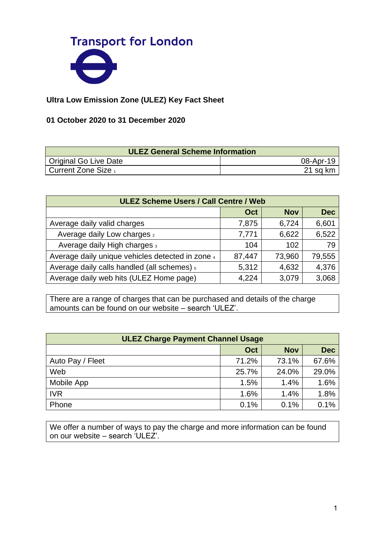

## **Ultra Low Emission Zone (ULEZ) Key Fact Sheet**

## **01 October 2020 to 31 December 2020**

| <b>ULEZ General Scheme Information</b> |           |  |  |
|----------------------------------------|-----------|--|--|
| Original Go Live Date                  | 08-Apr-19 |  |  |
| Current Zone Size 1                    | 21 sq km  |  |  |

| <b>ULEZ Scheme Users / Call Centre / Web</b>     |        |            |            |
|--------------------------------------------------|--------|------------|------------|
|                                                  | Oct    | <b>Nov</b> | <b>Dec</b> |
| Average daily valid charges                      | 7,875  | 6,724      | 6,601      |
| Average daily Low charges 2                      | 7,771  | 6,622      | 6,522      |
| Average daily High charges 3                     | 104    | 102        | 79         |
| Average daily unique vehicles detected in zone 4 | 87,447 | 73,960     | 79,555     |
| Average daily calls handled (all schemes) 5      | 5,312  | 4,632      | 4,376      |
| Average daily web hits (ULEZ Home page)          | 4,224  | 3,079      | 3,068      |

There are a range of charges that can be purchased and details of the charge amounts can be found on our website – search 'ULEZ'.

| <b>ULEZ Charge Payment Channel Usage</b> |       |            |            |
|------------------------------------------|-------|------------|------------|
|                                          | Oct   | <b>Nov</b> | <b>Dec</b> |
| Auto Pay / Fleet                         | 71.2% | 73.1%      | 67.6%      |
| Web                                      | 25.7% | 24.0%      | 29.0%      |
| Mobile App                               | 1.5%  | 1.4%       | 1.6%       |
| <b>IVR</b>                               | 1.6%  | 1.4%       | 1.8%       |
| Phone                                    | 0.1%  | 0.1%       | 0.1%       |

We offer a number of ways to pay the charge and more information can be found on our website – search 'ULEZ'.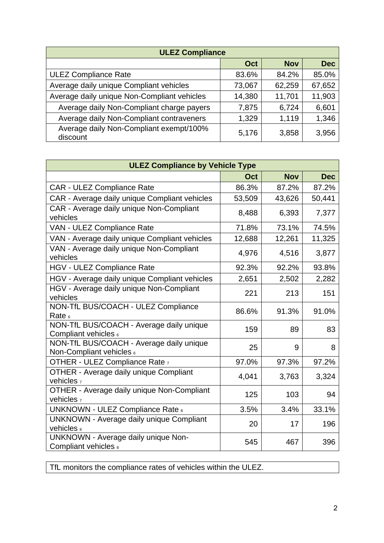| <b>ULEZ Compliance</b>                              |        |            |            |
|-----------------------------------------------------|--------|------------|------------|
|                                                     | Oct    | <b>Nov</b> | <b>Dec</b> |
| <b>ULEZ Compliance Rate</b>                         | 83.6%  | 84.2%      | 85.0%      |
| Average daily unique Compliant vehicles             | 73,067 | 62,259     | 67,652     |
| Average daily unique Non-Compliant vehicles         | 14,380 | 11,701     | 11,903     |
| Average daily Non-Compliant charge payers           | 7,875  | 6,724      | 6,601      |
| Average daily Non-Compliant contraveners            | 1,329  | 1,119      | 1,346      |
| Average daily Non-Compliant exempt/100%<br>discount | 5,176  | 3,858      | 3,956      |

| <b>ULEZ Compliance by Vehicle Type</b>                               |            |            |            |
|----------------------------------------------------------------------|------------|------------|------------|
|                                                                      | <b>Oct</b> | <b>Nov</b> | <b>Dec</b> |
| <b>CAR - ULEZ Compliance Rate</b>                                    | 86.3%      | 87.2%      | 87.2%      |
| CAR - Average daily unique Compliant vehicles                        | 53,509     | 43,626     | 50,441     |
| CAR - Average daily unique Non-Compliant<br>vehicles                 | 8,488      | 6,393      | 7,377      |
| VAN - ULEZ Compliance Rate                                           | 71.8%      | 73.1%      | 74.5%      |
| VAN - Average daily unique Compliant vehicles                        | 12,688     | 12,261     | 11,325     |
| VAN - Average daily unique Non-Compliant<br>vehicles                 | 4,976      | 4,516      | 3,877      |
| <b>HGV - ULEZ Compliance Rate</b>                                    | 92.3%      | 92.2%      | 93.8%      |
| HGV - Average daily unique Compliant vehicles                        | 2,651      | 2,502      | 2,282      |
| HGV - Average daily unique Non-Compliant<br>vehicles                 | 221        | 213        | 151        |
| NON-TfL BUS/COACH - ULEZ Compliance<br>Rate $6$                      | 86.6%      | 91.3%      | 91.0%      |
| NON-TfL BUS/COACH - Average daily unique<br>Compliant vehicles 6     | 159        | 89         | 83         |
| NON-TfL BUS/COACH - Average daily unique<br>Non-Compliant vehicles 6 | 25         | 9          | 8          |
| OTHER - ULEZ Compliance Rate 7                                       | 97.0%      | 97.3%      | 97.2%      |
| OTHER - Average daily unique Compliant<br>vehicles <sub>7</sub>      | 4,041      | 3,763      | 3,324      |
| OTHER - Average daily unique Non-Compliant<br>vehicles $_7$          | 125        | 103        | 94         |
| <b>UNKNOWN - ULEZ Compliance Rate &amp;</b>                          | 3.5%       | 3.4%       | 33.1%      |
| <b>UNKNOWN - Average daily unique Compliant</b><br>vehicles 8        | 20         | 17         | 196        |
| <b>UNKNOWN - Average daily unique Non-</b><br>Compliant vehicles &   | 545        | 467        | 396        |

TfL monitors the compliance rates of vehicles within the ULEZ.